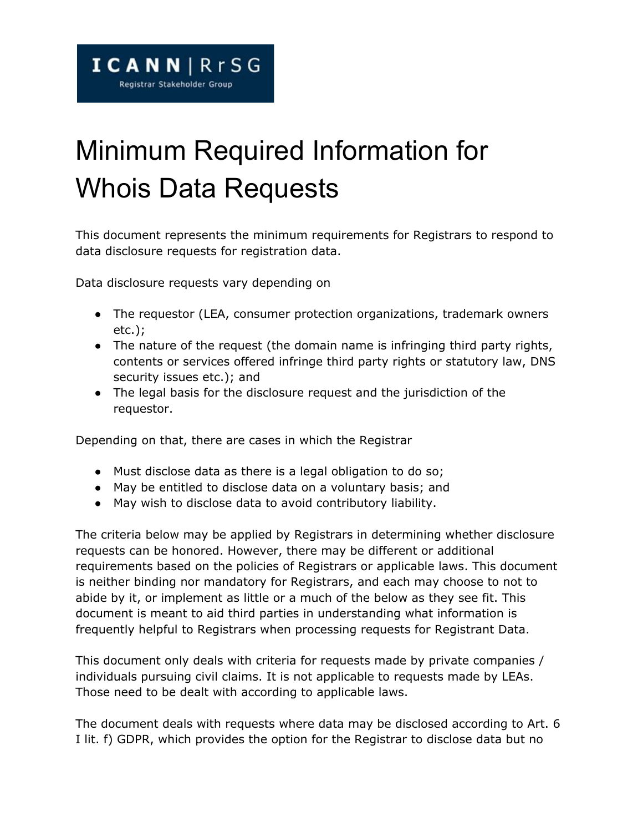## Minimum Required Information for Whois Data Requests

This document represents the minimum requirements for Registrars to respond to data disclosure requests for registration data.

Data disclosure requests vary depending on

- The requestor (LEA, consumer protection organizations, trademark owners etc.);
- The nature of the request (the domain name is infringing third party rights, contents or services offered infringe third party rights or statutory law, DNS security issues etc.); and
- The legal basis for the disclosure request and the jurisdiction of the requestor.

Depending on that, there are cases in which the Registrar

- Must disclose data as there is a legal obligation to do so;
- May be entitled to disclose data on a voluntary basis; and
- May wish to disclose data to avoid contributory liability.

The criteria below may be applied by Registrars in determining whether disclosure requests can be honored. However, there may be different or additional requirements based on the policies of Registrars or applicable laws. This document is neither binding nor mandatory for Registrars, and each may choose to not to abide by it, or implement as little or a much of the below as they see fit. This document is meant to aid third parties in understanding what information is frequently helpful to Registrars when processing requests for Registrant Data.

This document only deals with criteria for requests made by private companies / individuals pursuing civil claims. It is not applicable to requests made by LEAs. Those need to be dealt with according to applicable laws.

The document deals with requests where data may be disclosed according to Art. 6 I lit. f) GDPR, which provides the option for the Registrar to disclose data but no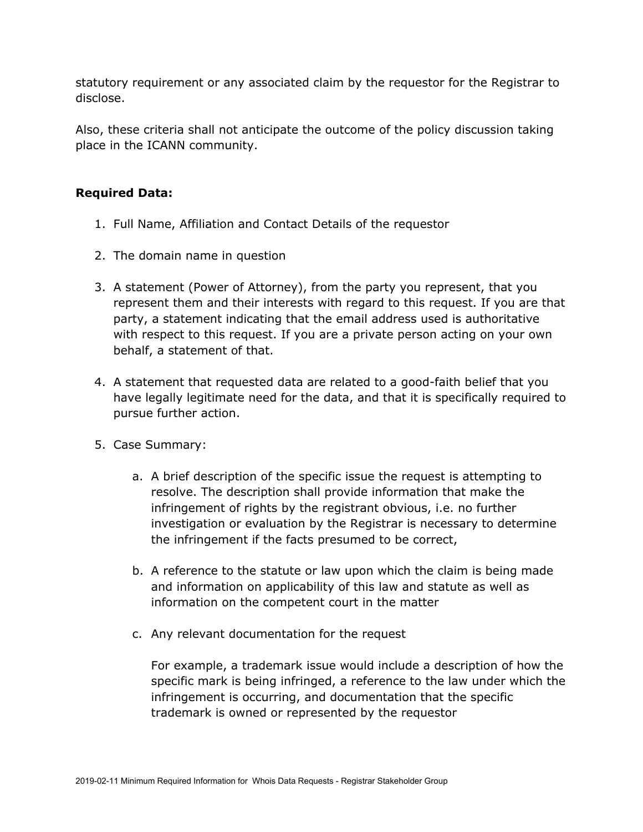statutory requirement or any associated claim by the requestor for the Registrar to disclose.

Also, these criteria shall not anticipate the outcome of the policy discussion taking place in the ICANN community.

## **Required Data:**

- 1. Full Name, Affiliation and Contact Details of the requestor
- 2. The domain name in question
- 3. A statement (Power of Attorney), from the party you represent, that you represent them and their interests with regard to this request. If you are that party, a statement indicating that the email address used is authoritative with respect to this request. If you are a private person acting on your own behalf, a statement of that.
- 4. A statement that requested data are related to a good-faith belief that you have legally legitimate need for the data, and that it is specifically required to pursue further action.
- 5. Case Summary:
	- a. A brief description of the specific issue the request is attempting to resolve. The description shall provide information that make the infringement of rights by the registrant obvious, i.e. no further investigation or evaluation by the Registrar is necessary to determine the infringement if the facts presumed to be correct,
	- b. A reference to the statute or law upon which the claim is being made and information on applicability of this law and statute as well as information on the competent court in the matter
	- c. Any relevant documentation for the request

For example, a trademark issue would include a description of how the specific mark is being infringed, a reference to the law under which the infringement is occurring, and documentation that the specific trademark is owned or represented by the requestor